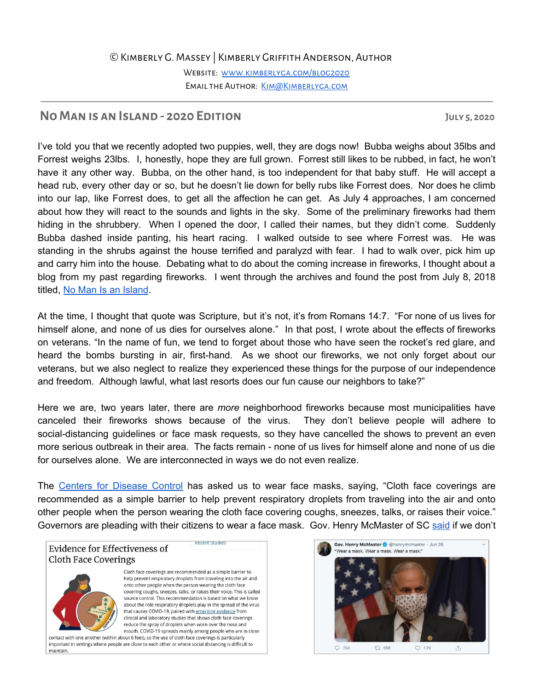## ©Kimberly G. Massey | Kimberly Griffith Anderson, Author

Website: [www.kimberlyga.com/blog2020](http://www.kimberlyga.com/blog2020) EMAIL THE AUTHOR: KIM@KIMBERLYGA.COM

## **NoManis anIsland - 2020 Edition July 5, 2020**

I've told you that we recently adopted two puppies, well, they are dogs now! Bubba weighs about 35lbs and Forrest weighs 23lbs. I, honestly, hope they are full grown. Forrest still likes to be rubbed, in fact, he won't have it any other way. Bubba, on the other hand, is too independent for that baby stuff. He will accept a head rub, every other day or so, but he doesn't lie down for belly rubs like Forrest does. Nor does he climb into our lap, like Forrest does, to get all the affection he can get. As July 4 approaches, I am concerned about how they will react to the sounds and lights in the sky. Some of the preliminary fireworks had them hiding in the shrubbery. When I opened the door, I called their names, but they didn't come. Suddenly Bubba dashed inside panting, his heart racing. I walked outside to see where Forrest was. He was standing in the shrubs against the house terrified and paralyzd with fear. I had to walk over, pick him up and carry him into the house. Debating what to do about the coming increase in fireworks, I thought about a blog from my past regarding fireworks. I went through the archives and found the post from July 8, 2018 titled, No Man Is an [Island](https://www.kimberlyga.com/blog/no-man-is-an-island).

At the time, I thought that quote was Scripture, but it's not, it's from Romans 14:7. "For none of us lives for himself alone, and none of us dies for ourselves alone." In that post, I wrote about the effects of fireworks on veterans. "In the name of fun, we tend to forget about those who have seen the rocket's red glare, and heard the bombs bursting in air, first-hand. As we shoot our fireworks, we not only forget about our veterans, but we also neglect to realize they experienced these things for the purpose of our independence and freedom. Although lawful, what last resorts does our fun cause our neighbors to take?"

Here we are, two years later, there are *more* neighborhood fireworks because most municipalities have canceled their fireworks shows because of the virus. They don't believe people will adhere to social-distancing guidelines or face mask requests, so they have cancelled the shows to prevent an even more serious outbreak in their area. The facts remain - none of us lives for himself alone and none of us die for ourselves alone. We are interconnected in ways we do not even realize.

The Centers for [Disease](https://www.cdc.gov/coronavirus/2019-ncov/prevent-getting-sick/cloth-face-cover-guidance.html) Control has asked us to wear face masks, saying, "Cloth face coverings are recommended as a simple barrier to help prevent respiratory droplets from traveling into the air and onto other people when the person wearing the cloth face covering coughs, sneezes, talks, or raises their voice." Governors are pleading with their citizens to wear a face mask. Gov. Henry McMaster of SC [said](https://www.wltx.com/article/news/health/coronavirus/sc-governor-to-update-states-response-to-the-coronavirus/101-a279723e-68b1-4d6c-9166-b67384da69a9) if we don't

**Evidence for Effectiveness of Cloth Face Coverings** 



Cloth face coverings are recommended as a simple barrier to help prevent respiratory droplets from traveling into the air and onto other people when the person wearing the cloth face covering coughs, sneezes, talks, or raises their voice. This is called source control. This recommendation is based on what we know about the role respiratory droplets play in the spread of the virus that causes COVID-19, paired with emerging evidence from clinical and laboratory studies that shows cloth face coverings reduce the spray of droplets when worn over the nose and mouth. COVID-19 spreads mainly among people who are in close

contact with one another (within about 6 feet), so the use of cloth face coverings is particularly important in settings where people are close to each other or where social distancing is difficult to maintain.